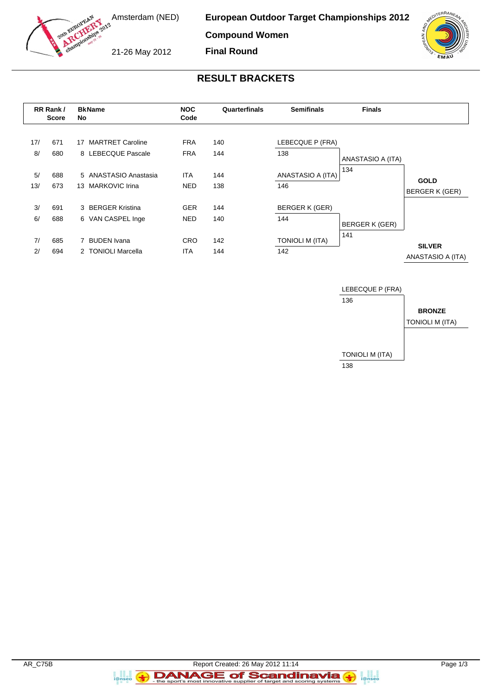

**European Outdoor Target Championships 2012**

**Compound Women**

**Final Round**

21-26 May 2012

## **RESULT BRACKETS**

|           | RR Rank /<br><b>Score</b> | <b>BkName</b><br>No                                  | <b>NOC</b><br>Code       | Quarterfinals | <b>Semifinals</b>             | <b>Finals</b>     |                                      |
|-----------|---------------------------|------------------------------------------------------|--------------------------|---------------|-------------------------------|-------------------|--------------------------------------|
| 17/<br>8/ | 671<br>680                | <b>MARTRET Caroline</b><br>17<br>8 LEBECQUE Pascale  | <b>FRA</b><br><b>FRA</b> | 140<br>144    | LEBECQUE P (FRA)<br>138       | ANASTASIO A (ITA) |                                      |
| 5/<br>13/ | 688<br>673                | 5 ANASTASIO Anastasia<br><b>MARKOVIC Irina</b><br>13 | <b>ITA</b><br><b>NED</b> | 144<br>138    | ANASTASIO A (ITA)<br>146      | 134               | <b>GOLD</b><br><b>BERGER K (GER)</b> |
| 3/<br>6/  | 691<br>688                | 3 BERGER Kristina<br>6 VAN CASPEL Inge               | <b>GER</b><br><b>NED</b> | 144<br>140    | <b>BERGER K (GER)</b><br>144  | BERGER K (GER)    |                                      |
| 7/<br>2/  | 685<br>694                | <b>BUDEN</b> Ivana<br>2 TONIOLI Marcella             | <b>CRO</b><br>ITA        | 142<br>144    | <b>TONIOLI M (ITA)</b><br>142 | 141               | <b>SILVER</b><br>ANASTASIO A (ITA)   |



a ann an<br>i@nseo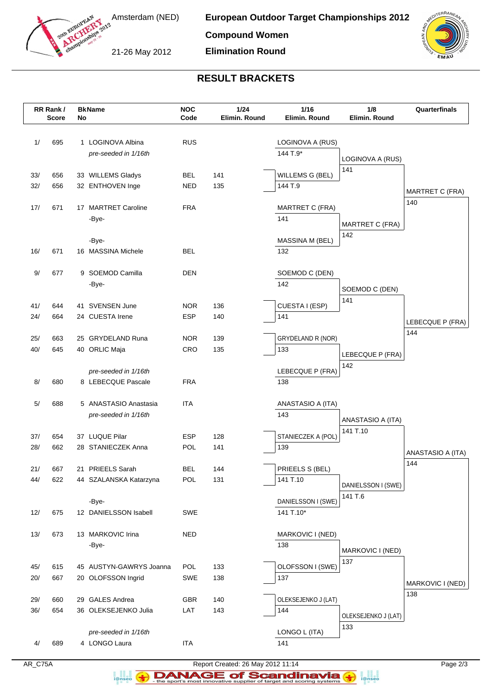

21-26 May 2012

**Elimination Round**



## **RESULT BRACKETS**

|     | RR Rank /<br><b>Score</b> | No | <b>BkName</b>               | <b>NOC</b><br>Code | 1/24<br>Elimin. Round | 1/16<br>Elimin. Round  | 1/8<br>Elimin. Round       | Quarterfinals                 |
|-----|---------------------------|----|-----------------------------|--------------------|-----------------------|------------------------|----------------------------|-------------------------------|
|     |                           |    |                             |                    |                       |                        |                            |                               |
| 1/  | 695                       |    | 1 LOGINOVA Albina           | <b>RUS</b>         |                       | LOGINOVA A (RUS)       |                            |                               |
|     |                           |    | pre-seeded in 1/16th        |                    |                       | 144 T.9*               |                            |                               |
|     |                           |    |                             |                    |                       |                        | LOGINOVA A (RUS)           |                               |
| 33/ | 656                       |    | 33 WILLEMS Gladys           | <b>BEL</b>         | 141                   | WILLEMS G (BEL)        | 141                        |                               |
| 32/ | 656                       |    | 32 ENTHOVEN Inge            | NED                | 135                   | 144 T.9                |                            |                               |
|     |                           |    |                             |                    |                       |                        |                            | <b>MARTRET C (FRA)</b><br>140 |
| 17/ | 671                       |    | 17 MARTRET Caroline         | <b>FRA</b>         |                       | <b>MARTRET C (FRA)</b> |                            |                               |
|     |                           |    | -Bye-                       |                    |                       | 141                    | <b>MARTRET C (FRA)</b>     |                               |
|     |                           |    |                             |                    |                       |                        | 142                        |                               |
| 16/ | 671                       |    | -Bye-<br>16 MASSINA Michele | <b>BEL</b>         |                       | MASSINA M (BEL)<br>132 |                            |                               |
|     |                           |    |                             |                    |                       |                        |                            |                               |
| 9/  | 677                       |    | 9 SOEMOD Camilla            | <b>DEN</b>         |                       | SOEMOD C (DEN)         |                            |                               |
|     |                           |    | -Bye-                       |                    |                       | 142                    |                            |                               |
|     |                           |    |                             |                    |                       |                        | SOEMOD C (DEN)<br>141      |                               |
| 41/ | 644                       |    | 41 SVENSEN June             | <b>NOR</b>         | 136                   | CUESTA I (ESP)         |                            |                               |
| 24/ | 664                       |    | 24 CUESTA Irene             | <b>ESP</b>         | 140                   | 141                    |                            | LEBECQUE P (FRA)              |
|     |                           |    |                             |                    |                       |                        |                            | 144                           |
| 25/ | 663                       |    | 25 GRYDELAND Runa           | <b>NOR</b>         | 139                   | GRYDELAND R (NOR)      |                            |                               |
| 40/ | 645                       |    | 40 ORLIC Maja               | CRO                | 135                   | 133                    | LEBECQUE P (FRA)           |                               |
|     |                           |    | pre-seeded in 1/16th        |                    |                       | LEBECQUE P (FRA)       | 142                        |                               |
| 8/  | 680                       |    | 8 LEBECQUE Pascale          | <b>FRA</b>         |                       | 138                    |                            |                               |
|     |                           |    |                             |                    |                       |                        |                            |                               |
| 5/  | 688                       |    | 5 ANASTASIO Anastasia       | <b>ITA</b>         |                       | ANASTASIO A (ITA)      |                            |                               |
|     |                           |    | pre-seeded in 1/16th        |                    |                       | 143                    | ANASTASIO A (ITA)          |                               |
|     |                           |    |                             |                    |                       |                        | 141 T.10                   |                               |
| 37/ | 654                       |    | 37 LUQUE Pilar              | ESP                | 128                   | STANIECZEK A (POL)     |                            |                               |
| 28/ | 662                       |    | 28 STANIECZEK Anna          | POL                | 141                   | 139                    |                            | ANASTASIO A (ITA)             |
| 21/ | 667                       |    | 21 PRIEELS Sarah            | BEL                | 144                   | PRIEELS S (BEL)        |                            | 144                           |
| 44/ | 622                       |    | 44 SZALANSKA Katarzyna      | POL                | 131                   | 141 T.10               |                            |                               |
|     |                           |    |                             |                    |                       |                        | DANIELSSON I (SWE)         |                               |
|     |                           |    | -Bye-                       |                    |                       | DANIELSSON I (SWE)     | 141 T.6                    |                               |
| 12/ | 675                       |    | 12 DANIELSSON Isabell       | SWE                |                       | 141 T.10*              |                            |                               |
|     |                           |    |                             |                    |                       |                        |                            |                               |
| 13/ | 673                       |    | 13 MARKOVIC Irina           | NED                |                       | MARKOVIC I (NED)       |                            |                               |
|     |                           |    | -Bye-                       |                    |                       | 138                    | MARKOVIC I (NED)           |                               |
| 45/ | 615                       |    | 45 AUSTYN-GAWRYS Joanna     | POL                | 133                   | OLOFSSON I (SWE)       | 137                        |                               |
| 20/ | 667                       |    | 20 OLOFSSON Ingrid          | SWE                | 138                   | 137                    |                            |                               |
|     |                           |    |                             |                    |                       |                        |                            | MARKOVIC I (NED)              |
| 29/ | 660                       |    | 29 GALES Andrea             | <b>GBR</b>         | 140                   | OLEKSEJENKO J (LAT)    |                            | 138                           |
| 36/ | 654                       |    | 36 OLEKSEJENKO Julia        | LAT                | 143                   | 144                    |                            |                               |
|     |                           |    |                             |                    |                       |                        | OLEKSEJENKO J (LAT)<br>133 |                               |
|     |                           |    | pre-seeded in 1/16th        |                    |                       | LONGO L (ITA)          |                            |                               |
| 4/  | 689                       |    | 4 LONGO Laura               | <b>ITA</b>         |                       | 141                    |                            |                               |

a analis<br>i@nseo

AR\_C75A Report Created: 26 May 2012 11:14 Page 2/3 **DANAGE of Scandinavia**